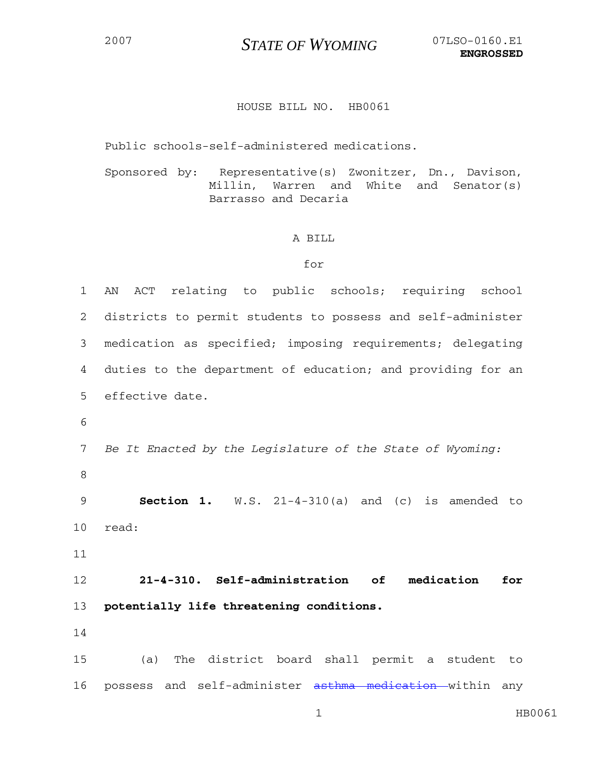## <sup>2007</sup>*STATE OF WYOMING* 07LSO-0160.E1

## HOUSE BILL NO. HB0061

Public schools-self-administered medications.

Sponsored by: Representative(s) Zwonitzer, Dn., Davison, Millin, Warren and White and Senator(s) Barrasso and Decaria

## A BILL

## for

1 AN ACT relating to public schools; requiring school 2 districts to permit students to possess and self-administer 3 medication as specified; imposing requirements; delegating 4 duties to the department of education; and providing for an 5 effective date. 6 7 *Be It Enacted by the Legislature of the State of Wyoming:* 8 9 **Section 1.** W.S. 21-4-310(a) and (c) is amended to 10 read: 11 12 **21-4-310. Self-administration of medication for**  13 **potentially life threatening conditions.**  14 15 (a) The district board shall permit a student to 16 possess and self-administer asthma medication within any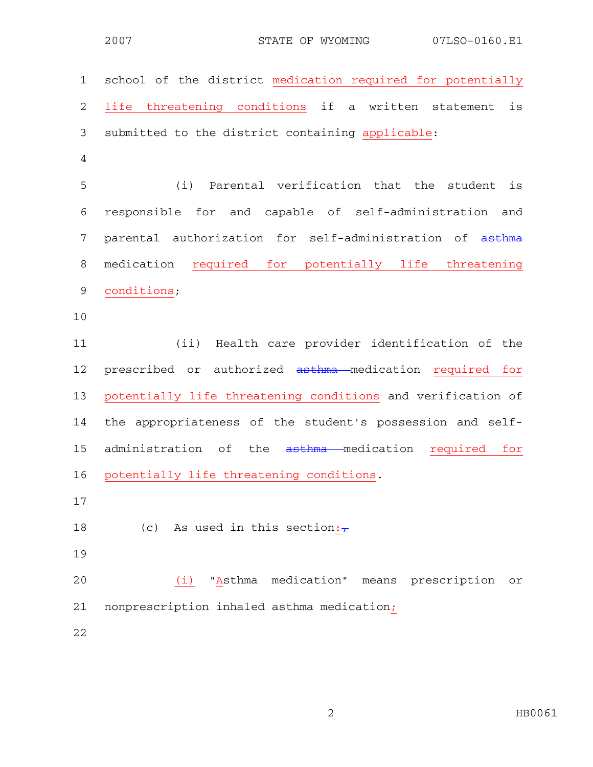1 school of the district medication required for potentially 2 life threatening conditions if a written statement is 3 submitted to the district containing applicable: 4 5 (i) Parental verification that the student is 6 responsible for and capable of self-administration and 7 parental authorization for self-administration of asthma 8 medication required for potentially life threatening 9 conditions; 10 11 (ii) Health care provider identification of the 12 prescribed or authorized asthma medication required for 13 potentially life threatening conditions and verification of 14 the appropriateness of the student's possession and self-15 administration of the asthma medication required for 16 potentially life threatening conditions. 17 18 (c) As used in this section: $\frac{1}{1}$ 19 20 (i) "Asthma medication" means prescription or 21 nonprescription inhaled asthma medication; 22